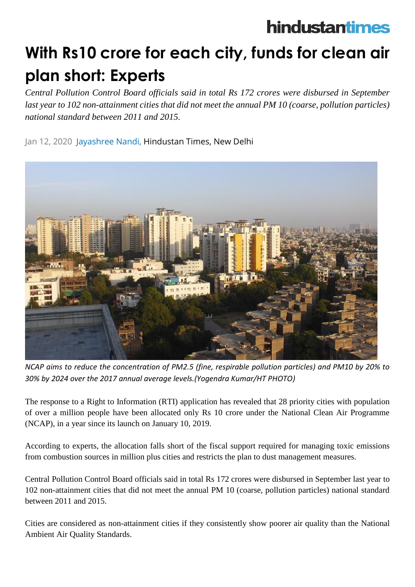## hindustantimes

## **With Rs10 crore for each city, funds for clean air plan short: Experts**

*Central Pollution Control Board officials said in total Rs 172 crores were disbursed in September last year to 102 non-attainment cities that did not meet the annual PM 10 (coarse, pollution particles) national standard between 2011 and 2015.*

## Jan 12, 2020 Jayashree Nandi, Hindustan Times, New Delhi



*NCAP aims to reduce the concentration of PM2.5 (fine, respirable pollution particles) and PM10 by 20% to 30% by 2024 over the 2017 annual average levels.(Yogendra Kumar/HT PHOTO)*

The response to a Right to Information (RTI) application has revealed that 28 priority cities with population of over a million people have been allocated only Rs 10 crore under the National Clean Air Programme (NCAP), in a year since its launch on January 10, 2019.

According to experts, the allocation falls short of the fiscal support required for managing toxic emissions from combustion sources in million plus cities and restricts the plan to dust management measures.

Central Pollution Control Board officials said in total Rs 172 crores were disbursed in September last year to 102 non-attainment cities that did not meet the annual PM 10 (coarse, pollution particles) national standard between 2011 and 2015.

Cities are considered as non-attainment cities if they consistently show poorer air quality than the National Ambient Air Quality Standards.